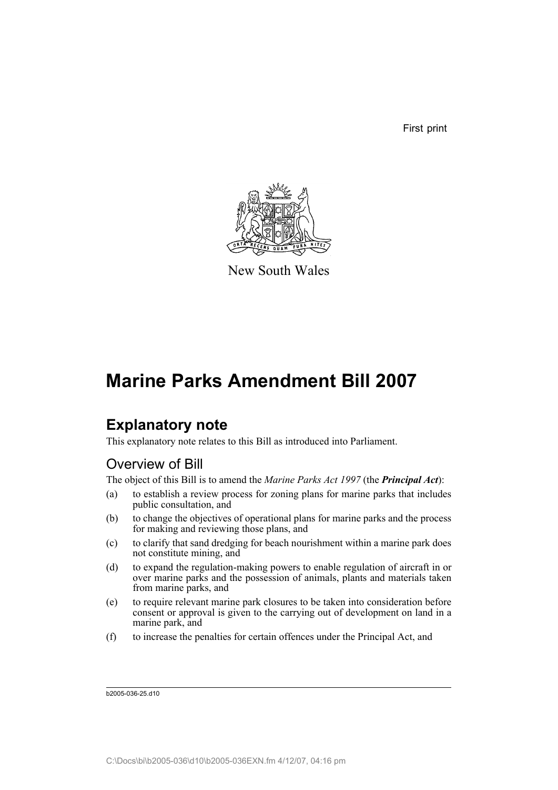First print



New South Wales

# **Marine Parks Amendment Bill 2007**

# **Explanatory note**

This explanatory note relates to this Bill as introduced into Parliament.

# Overview of Bill

The object of this Bill is to amend the *Marine Parks Act 1997* (the *Principal Act*):

- (a) to establish a review process for zoning plans for marine parks that includes public consultation, and
- (b) to change the objectives of operational plans for marine parks and the process for making and reviewing those plans, and
- (c) to clarify that sand dredging for beach nourishment within a marine park does not constitute mining, and
- (d) to expand the regulation-making powers to enable regulation of aircraft in or over marine parks and the possession of animals, plants and materials taken from marine parks, and
- (e) to require relevant marine park closures to be taken into consideration before consent or approval is given to the carrying out of development on land in a marine park, and
- (f) to increase the penalties for certain offences under the Principal Act, and

b2005-036-25.d10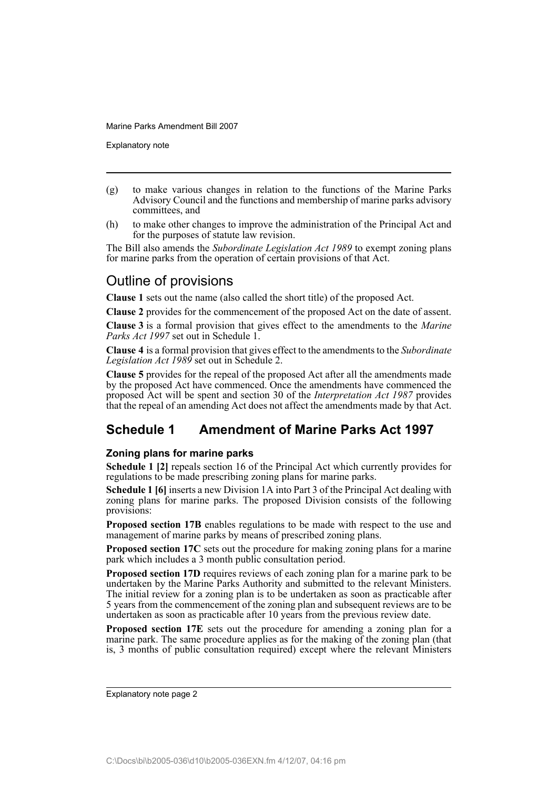Explanatory note

- (g) to make various changes in relation to the functions of the Marine Parks Advisory Council and the functions and membership of marine parks advisory committees, and
- (h) to make other changes to improve the administration of the Principal Act and for the purposes of statute law revision.

The Bill also amends the *Subordinate Legislation Act 1989* to exempt zoning plans for marine parks from the operation of certain provisions of that Act.

# Outline of provisions

**Clause 1** sets out the name (also called the short title) of the proposed Act.

**Clause 2** provides for the commencement of the proposed Act on the date of assent.

**Clause 3** is a formal provision that gives effect to the amendments to the *Marine Parks Act 1997* set out in Schedule 1.

**Clause 4** is a formal provision that gives effect to the amendments to the *Subordinate Legislation Act 1989* set out in Schedule 2.

**Clause 5** provides for the repeal of the proposed Act after all the amendments made by the proposed Act have commenced. Once the amendments have commenced the proposed Act will be spent and section 30 of the *Interpretation Act 1987* provides that the repeal of an amending Act does not affect the amendments made by that Act.

# **Schedule 1 Amendment of Marine Parks Act 1997**

# **Zoning plans for marine parks**

**Schedule 1 [2]** repeals section 16 of the Principal Act which currently provides for regulations to be made prescribing zoning plans for marine parks.

**Schedule 1 [6]** inserts a new Division 1A into Part 3 of the Principal Act dealing with zoning plans for marine parks. The proposed Division consists of the following provisions:

**Proposed section 17B** enables regulations to be made with respect to the use and management of marine parks by means of prescribed zoning plans.

**Proposed section 17C** sets out the procedure for making zoning plans for a marine park which includes a 3 month public consultation period.

**Proposed section 17D** requires reviews of each zoning plan for a marine park to be undertaken by the Marine Parks Authority and submitted to the relevant Ministers. The initial review for a zoning plan is to be undertaken as soon as practicable after 5 years from the commencement of the zoning plan and subsequent reviews are to be undertaken as soon as practicable after 10 years from the previous review date.

**Proposed section 17E** sets out the procedure for amending a zoning plan for a marine park. The same procedure applies as for the making of the zoning plan (that is, 3 months of public consultation required) except where the relevant Ministers

Explanatory note page 2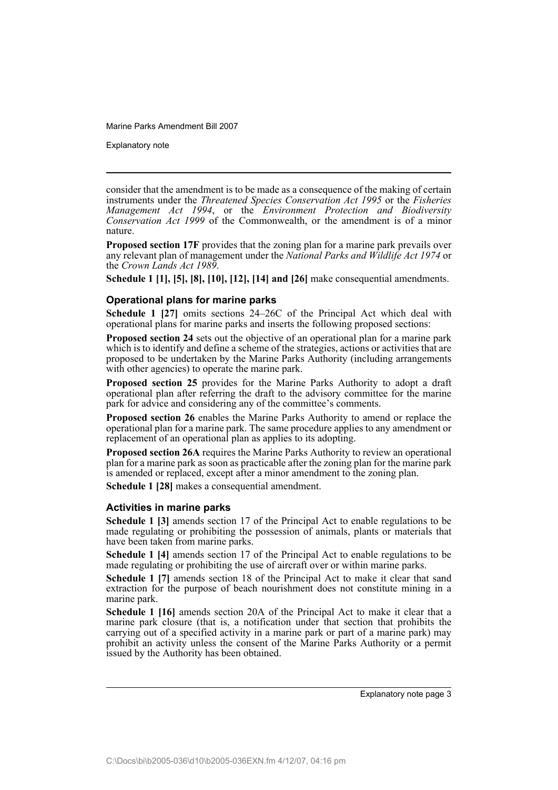Explanatory note

consider that the amendment is to be made as a consequence of the making of certain instruments under the *Threatened Species Conservation Act 1995* or the *Fisheries Management Act 1994*, or the *Environment Protection and Biodiversity Conservation Act 1999* of the Commonwealth, or the amendment is of a minor nature.

**Proposed section 17F** provides that the zoning plan for a marine park prevails over any relevant plan of management under the *National Parks and Wildlife Act 1974* or the *Crown Lands Act 1989*.

**Schedule 1 [1], [5], [8], [10], [12], [14] and [26]** make consequential amendments.

## **Operational plans for marine parks**

**Schedule 1 [27]** omits sections 24–26C of the Principal Act which deal with operational plans for marine parks and inserts the following proposed sections:

**Proposed section 24** sets out the objective of an operational plan for a marine park which is to identify and define a scheme of the strategies, actions or activities that are proposed to be undertaken by the Marine Parks Authority (including arrangements with other agencies) to operate the marine park.

**Proposed section 25** provides for the Marine Parks Authority to adopt a draft operational plan after referring the draft to the advisory committee for the marine park for advice and considering any of the committee's comments.

**Proposed section 26** enables the Marine Parks Authority to amend or replace the operational plan for a marine park. The same procedure applies to any amendment or replacement of an operational plan as applies to its adopting.

**Proposed section 26A** requires the Marine Parks Authority to review an operational plan for a marine park as soon as practicable after the zoning plan for the marine park is amended or replaced, except after a minor amendment to the zoning plan.

**Schedule 1 [28]** makes a consequential amendment.

## **Activities in marine parks**

**Schedule 1 [3]** amends section 17 of the Principal Act to enable regulations to be made regulating or prohibiting the possession of animals, plants or materials that have been taken from marine parks.

**Schedule 1 [4]** amends section 17 of the Principal Act to enable regulations to be made regulating or prohibiting the use of aircraft over or within marine parks.

**Schedule 1 [7]** amends section 18 of the Principal Act to make it clear that sand extraction for the purpose of beach nourishment does not constitute mining in a marine park.

**Schedule 1 [16]** amends section 20A of the Principal Act to make it clear that a marine park closure (that is, a notification under that section that prohibits the carrying out of a specified activity in a marine park or part of a marine park) may prohibit an activity unless the consent of the Marine Parks Authority or a permit issued by the Authority has been obtained.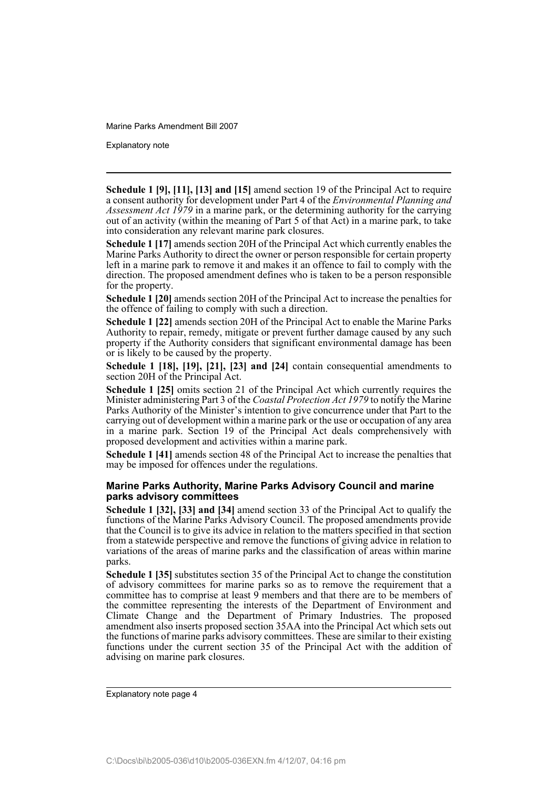Explanatory note

**Schedule 1 [9], [11], [13] and [15]** amend section 19 of the Principal Act to require a consent authority for development under Part 4 of the *Environmental Planning and Assessment Act 1979* in a marine park, or the determining authority for the carrying out of an activity (within the meaning of Part 5 of that Act) in a marine park, to take into consideration any relevant marine park closures.

**Schedule 1 [17]** amends section 20H of the Principal Act which currently enables the Marine Parks Authority to direct the owner or person responsible for certain property left in a marine park to remove it and makes it an offence to fail to comply with the direction. The proposed amendment defines who is taken to be a person responsible for the property.

**Schedule 1 [20]** amends section 20H of the Principal Act to increase the penalties for the offence of failing to comply with such a direction.

**Schedule 1 [22]** amends section 20H of the Principal Act to enable the Marine Parks Authority to repair, remedy, mitigate or prevent further damage caused by any such property if the Authority considers that significant environmental damage has been or is likely to be caused by the property.

**Schedule 1 [18], [19], [21], [23] and [24]** contain consequential amendments to section 20H of the Principal Act.

**Schedule 1 [25]** omits section 21 of the Principal Act which currently requires the Minister administering Part 3 of the *Coastal Protection Act 1979* to notify the Marine Parks Authority of the Minister's intention to give concurrence under that Part to the carrying out of development within a marine park or the use or occupation of any area in a marine park. Section 19 of the Principal Act deals comprehensively with proposed development and activities within a marine park.

**Schedule 1 [41]** amends section 48 of the Principal Act to increase the penalties that may be imposed for offences under the regulations.

## **Marine Parks Authority, Marine Parks Advisory Council and marine parks advisory committees**

**Schedule 1 [32], [33] and [34]** amend section 33 of the Principal Act to qualify the functions of the Marine Parks Advisory Council. The proposed amendments provide that the Council is to give its advice in relation to the matters specified in that section from a statewide perspective and remove the functions of giving advice in relation to variations of the areas of marine parks and the classification of areas within marine parks.

**Schedule 1 [35]** substitutes section 35 of the Principal Act to change the constitution of advisory committees for marine parks so as to remove the requirement that a committee has to comprise at least 9 members and that there are to be members of the committee representing the interests of the Department of Environment and Climate Change and the Department of Primary Industries. The proposed amendment also inserts proposed section 35AA into the Principal Act which sets out the functions of marine parks advisory committees. These are similar to their existing functions under the current section 35 of the Principal Act with the addition of advising on marine park closures.

Explanatory note page 4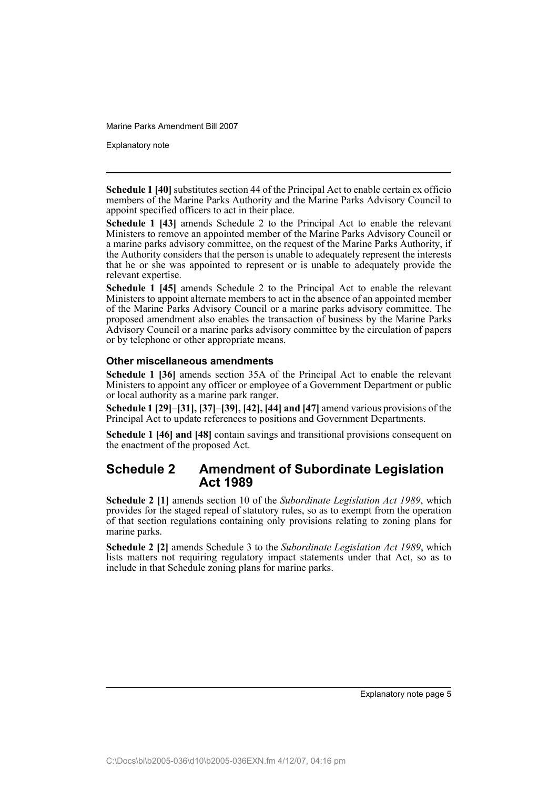Explanatory note

**Schedule 1 [40]** substitutes section 44 of the Principal Act to enable certain ex officio members of the Marine Parks Authority and the Marine Parks Advisory Council to appoint specified officers to act in their place.

**Schedule 1 [43]** amends Schedule 2 to the Principal Act to enable the relevant Ministers to remove an appointed member of the Marine Parks Advisory Council or a marine parks advisory committee, on the request of the Marine Parks Authority, if the Authority considers that the person is unable to adequately represent the interests that he or she was appointed to represent or is unable to adequately provide the relevant expertise.

**Schedule 1 [45]** amends Schedule 2 to the Principal Act to enable the relevant Ministers to appoint alternate members to act in the absence of an appointed member of the Marine Parks Advisory Council or a marine parks advisory committee. The proposed amendment also enables the transaction of business by the Marine Parks Advisory Council or a marine parks advisory committee by the circulation of papers or by telephone or other appropriate means.

## **Other miscellaneous amendments**

**Schedule 1 [36]** amends section 35A of the Principal Act to enable the relevant Ministers to appoint any officer or employee of a Government Department or public or local authority as a marine park ranger.

**Schedule 1 [29]–[31], [37]–[39], [42], [44] and [47]** amend various provisions of the Principal Act to update references to positions and Government Departments.

**Schedule 1 [46] and [48]** contain savings and transitional provisions consequent on the enactment of the proposed Act.

# **Schedule 2 Amendment of Subordinate Legislation Act 1989**

**Schedule 2 [1]** amends section 10 of the *Subordinate Legislation Act 1989*, which provides for the staged repeal of statutory rules, so as to exempt from the operation of that section regulations containing only provisions relating to zoning plans for marine parks.

**Schedule 2 [2]** amends Schedule 3 to the *Subordinate Legislation Act 1989*, which lists matters not requiring regulatory impact statements under that Act, so as to include in that Schedule zoning plans for marine parks.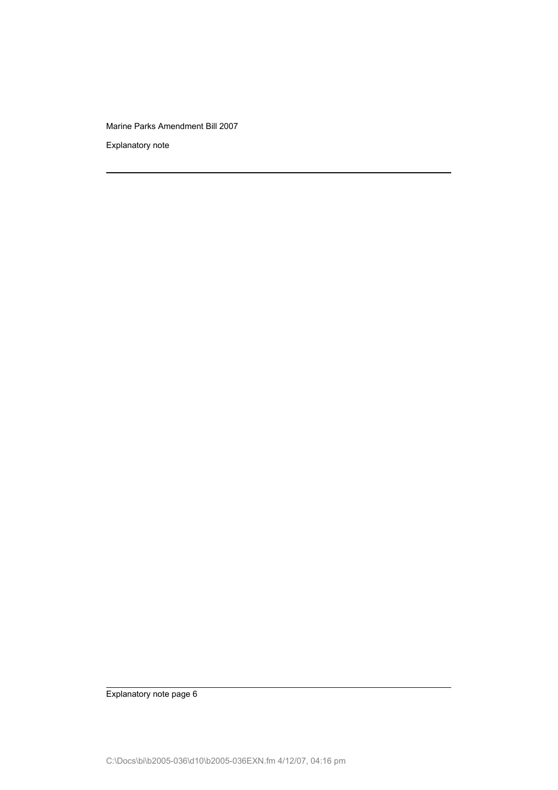Explanatory note

Explanatory note page 6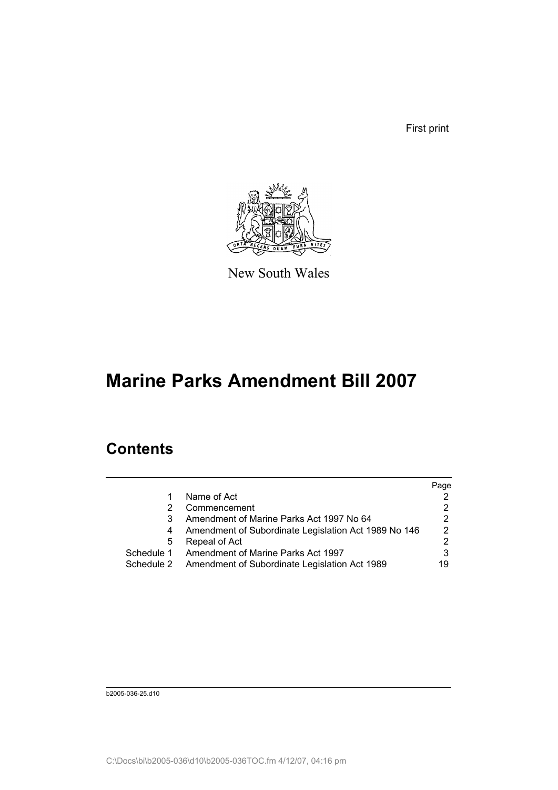First print



New South Wales

# **Marine Parks Amendment Bill 2007**

# **Contents**

|                                                      | Page          |
|------------------------------------------------------|---------------|
| Name of Act                                          | 2             |
| Commencement                                         | 2             |
| Amendment of Marine Parks Act 1997 No 64             | 2             |
| Amendment of Subordinate Legislation Act 1989 No 146 | $\mathcal{P}$ |
| Repeal of Act                                        | 2             |
| Amendment of Marine Parks Act 1997                   | 3             |
| Amendment of Subordinate Legislation Act 1989        | 19            |
|                                                      |               |

b2005-036-25.d10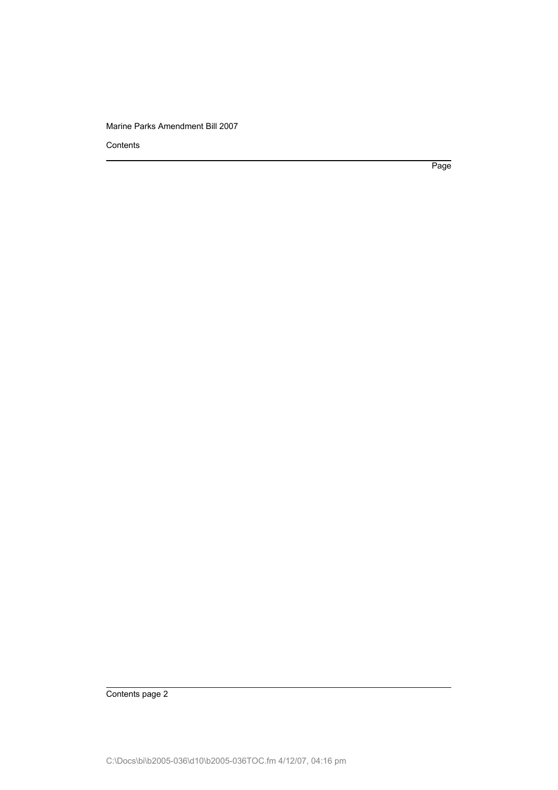**Contents** 

Page

Contents page 2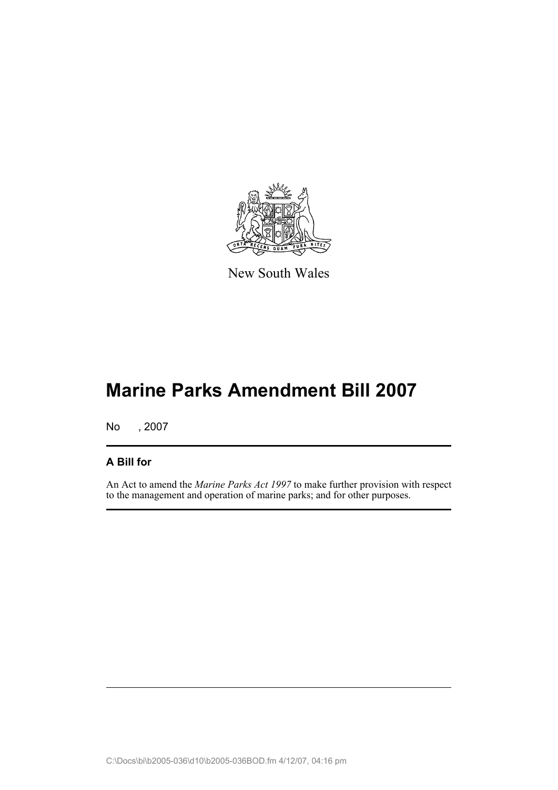

New South Wales

# **Marine Parks Amendment Bill 2007**

No , 2007

# **A Bill for**

An Act to amend the *Marine Parks Act 1997* to make further provision with respect to the management and operation of marine parks; and for other purposes.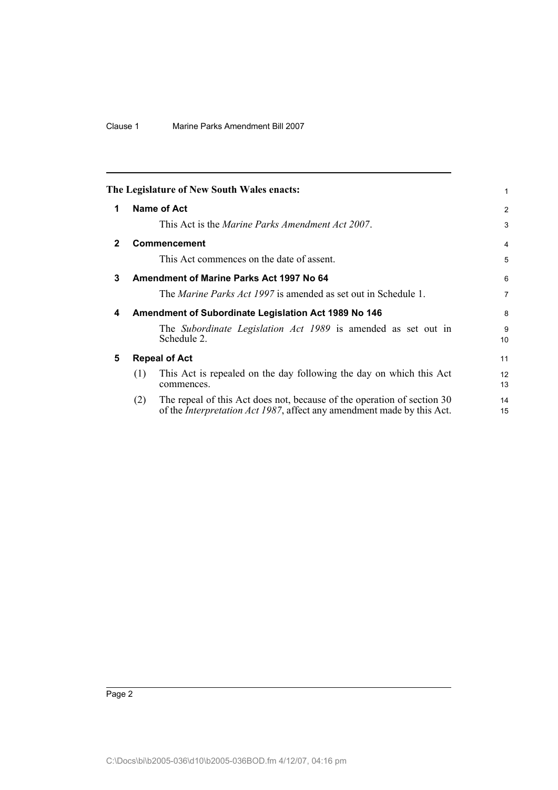<span id="page-9-4"></span><span id="page-9-3"></span><span id="page-9-2"></span><span id="page-9-1"></span><span id="page-9-0"></span>

|              | The Legislature of New South Wales enacts:                                                                                                                       | 1              |
|--------------|------------------------------------------------------------------------------------------------------------------------------------------------------------------|----------------|
| 1            | <b>Name of Act</b>                                                                                                                                               | 2              |
|              | This Act is the <i>Marine Parks Amendment Act 2007</i> .                                                                                                         | 3              |
| $\mathbf{2}$ | <b>Commencement</b>                                                                                                                                              | $\overline{4}$ |
|              | This Act commences on the date of assent.                                                                                                                        | 5              |
| 3            | Amendment of Marine Parks Act 1997 No 64                                                                                                                         | 6              |
|              | The <i>Marine Parks Act 1997</i> is amended as set out in Schedule 1.                                                                                            | $\overline{7}$ |
| 4            | Amendment of Subordinate Legislation Act 1989 No 146                                                                                                             | 8              |
|              | The Subordinate Legislation Act 1989 is amended as set out in<br>Schedule 2.                                                                                     | 9<br>10        |
| 5            | <b>Repeal of Act</b>                                                                                                                                             | 11             |
|              | This Act is repealed on the day following the day on which this Act<br>(1)<br>commences.                                                                         | 12<br>13       |
|              | The repeal of this Act does not, because of the operation of section 30<br>(2)<br>of the <i>Interpretation Act 1987</i> , affect any amendment made by this Act. | 14<br>15       |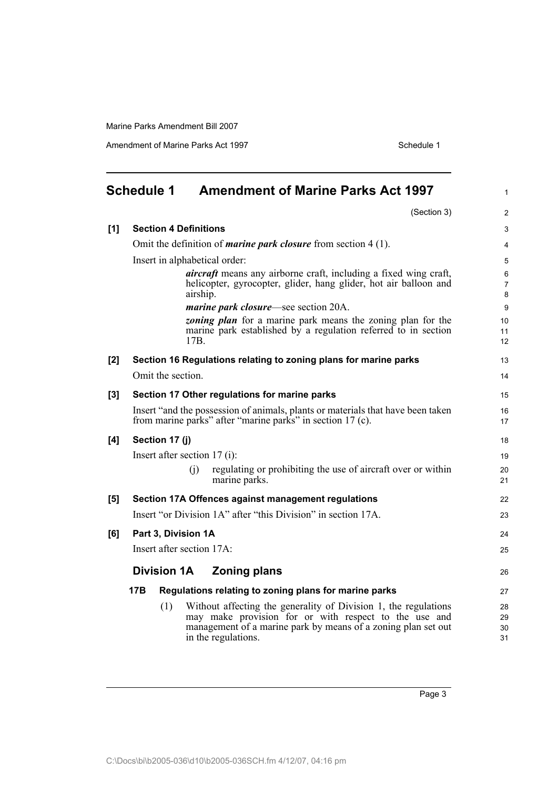Amendment of Marine Parks Act 1997 **Schedule 1** Schedule 1

<span id="page-10-0"></span>

|     | <b>Schedule 1</b><br><b>Amendment of Marine Parks Act 1997</b>                                                                                                                                                          | $\mathbf{1}$             |
|-----|-------------------------------------------------------------------------------------------------------------------------------------------------------------------------------------------------------------------------|--------------------------|
|     | (Section 3)                                                                                                                                                                                                             | $\overline{2}$           |
| [1] | <b>Section 4 Definitions</b>                                                                                                                                                                                            | 3                        |
|     | Omit the definition of <i>marine park closure</i> from section $4(1)$ .                                                                                                                                                 | $\overline{4}$           |
|     | Insert in alphabetical order:                                                                                                                                                                                           | 5                        |
|     | <i>aircraft</i> means any airborne craft, including a fixed wing craft,<br>helicopter, gyrocopter, glider, hang glider, hot air balloon and<br>airship.                                                                 | 6<br>$\overline{7}$<br>8 |
|     | <i>marine park closure</i> —see section 20A.                                                                                                                                                                            | 9                        |
|     | zoning plan for a marine park means the zoning plan for the<br>marine park established by a regulation referred to in section<br>17B.                                                                                   | 10<br>11<br>12           |
| [2] | Section 16 Regulations relating to zoning plans for marine parks                                                                                                                                                        | 13                       |
|     | Omit the section.                                                                                                                                                                                                       | 14                       |
| [3] | Section 17 Other regulations for marine parks                                                                                                                                                                           | 15                       |
|     | Insert "and the possession of animals, plants or materials that have been taken<br>from marine parks" after "marine parks" in section 17 (c).                                                                           | 16<br>17                 |
| [4] | Section 17 (j)                                                                                                                                                                                                          | 18                       |
|     | Insert after section $17$ (i):                                                                                                                                                                                          | 19                       |
|     | regulating or prohibiting the use of aircraft over or within<br>(i)<br>marine parks.                                                                                                                                    | 20<br>21                 |
| [5] | Section 17A Offences against management regulations                                                                                                                                                                     | 22                       |
|     | Insert "or Division 1A" after "this Division" in section 17A.                                                                                                                                                           | 23                       |
| [6] | Part 3, Division 1A                                                                                                                                                                                                     | 24                       |
|     | Insert after section 17A:                                                                                                                                                                                               | 25                       |
|     | <b>Division 1A</b><br><b>Zoning plans</b>                                                                                                                                                                               | 26                       |
|     | 17B<br>Regulations relating to zoning plans for marine parks                                                                                                                                                            | 27                       |
|     | Without affecting the generality of Division 1, the regulations<br>(1)<br>may make provision for or with respect to the use and<br>management of a marine park by means of a zoning plan set out<br>in the regulations. | 28<br>29<br>30<br>31     |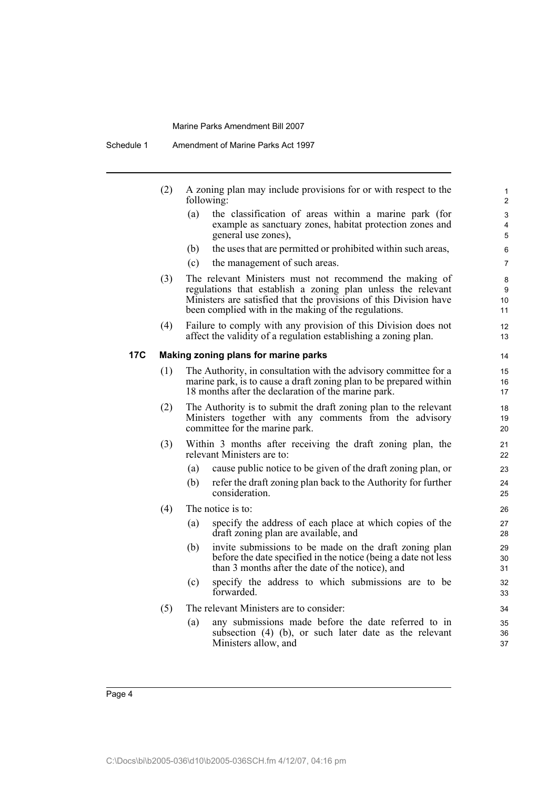| (2) | A zoning plan may include provisions for or with respect to the |
|-----|-----------------------------------------------------------------|
|     | following:                                                      |

(a) the classification of areas within a marine park (for example as sanctuary zones, habitat protection zones and general use zones),

- (b) the uses that are permitted or prohibited within such areas,
- (c) the management of such areas.
- (3) The relevant Ministers must not recommend the making of regulations that establish a zoning plan unless the relevant Ministers are satisfied that the provisions of this Division have been complied with in the making of the regulations.
- (4) Failure to comply with any provision of this Division does not affect the validity of a regulation establishing a zoning plan.

### **17C Making zoning plans for marine parks**

- (1) The Authority, in consultation with the advisory committee for a marine park, is to cause a draft zoning plan to be prepared within 18 months after the declaration of the marine park.
- (2) The Authority is to submit the draft zoning plan to the relevant Ministers together with any comments from the advisory committee for the marine park.
- (3) Within 3 months after receiving the draft zoning plan, the relevant Ministers are to:
	- (a) cause public notice to be given of the draft zoning plan, or
	- (b) refer the draft zoning plan back to the Authority for further consideration.
- (4) The notice is to:
	- (a) specify the address of each place at which copies of the draft zoning plan are available, and
	- (b) invite submissions to be made on the draft zoning plan before the date specified in the notice (being a date not less than 3 months after the date of the notice), and
	- (c) specify the address to which submissions are to be forwarded.
- (5) The relevant Ministers are to consider:
	- (a) any submissions made before the date referred to in subsection (4) (b), or such later date as the relevant Ministers allow, and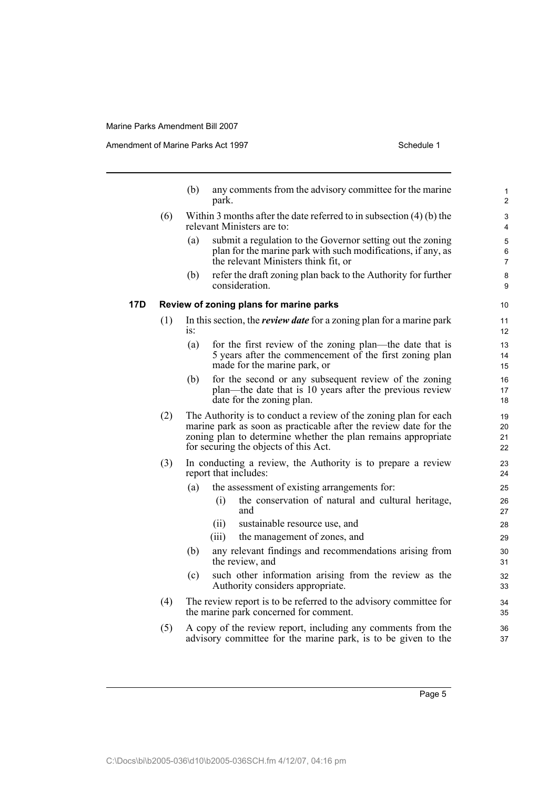Amendment of Marine Parks Act 1997 Schedule 1

|     |     | (b)    | any comments from the advisory committee for the marine<br>park.                                                                                                                                                                               | $\mathbf{1}$<br>$\overline{2}$ |
|-----|-----|--------|------------------------------------------------------------------------------------------------------------------------------------------------------------------------------------------------------------------------------------------------|--------------------------------|
|     | (6) |        | Within 3 months after the date referred to in subsection $(4)$ (b) the<br>relevant Ministers are to:                                                                                                                                           | $\mathbf{3}$<br>4              |
|     |     | (a)    | submit a regulation to the Governor setting out the zoning<br>plan for the marine park with such modifications, if any, as<br>the relevant Ministers think fit, or                                                                             | 5<br>6<br>$\overline{7}$       |
|     |     | (b)    | refer the draft zoning plan back to the Authority for further<br>consideration.                                                                                                                                                                | 8<br>9                         |
| 17D |     |        | Review of zoning plans for marine parks                                                                                                                                                                                                        | 10                             |
|     | (1) | $iS$ : | In this section, the <i>review date</i> for a zoning plan for a marine park                                                                                                                                                                    | 11<br>12                       |
|     |     | (a)    | for the first review of the zoning plan—the date that is<br>5 years after the commencement of the first zoning plan<br>made for the marine park, or                                                                                            | 13<br>14<br>15                 |
|     |     | (b)    | for the second or any subsequent review of the zoning<br>plan—the date that is 10 years after the previous review<br>date for the zoning plan.                                                                                                 | 16<br>17<br>18                 |
|     | (2) |        | The Authority is to conduct a review of the zoning plan for each<br>marine park as soon as practicable after the review date for the<br>zoning plan to determine whether the plan remains appropriate<br>for securing the objects of this Act. | 19<br>20<br>21<br>22           |
|     | (3) |        | In conducting a review, the Authority is to prepare a review<br>report that includes:                                                                                                                                                          | 23<br>24                       |
|     |     | (a)    | the assessment of existing arrangements for:                                                                                                                                                                                                   | 25                             |
|     |     |        | the conservation of natural and cultural heritage,<br>(i)<br>and                                                                                                                                                                               | 26<br>27                       |
|     |     |        | (ii)<br>sustainable resource use, and                                                                                                                                                                                                          | 28                             |
|     |     |        | (iii)<br>the management of zones, and                                                                                                                                                                                                          | 29                             |
|     |     | (b)    | any relevant findings and recommendations arising from<br>the review, and                                                                                                                                                                      | 30<br>31                       |
|     |     | (c)    | such other information arising from the review as the<br>Authority considers appropriate.                                                                                                                                                      | 32<br>33                       |
|     | (4) |        | The review report is to be referred to the advisory committee for<br>the marine park concerned for comment.                                                                                                                                    | 34<br>35                       |
|     | (5) |        | A copy of the review report, including any comments from the<br>advisory committee for the marine park, is to be given to the                                                                                                                  | 36<br>37                       |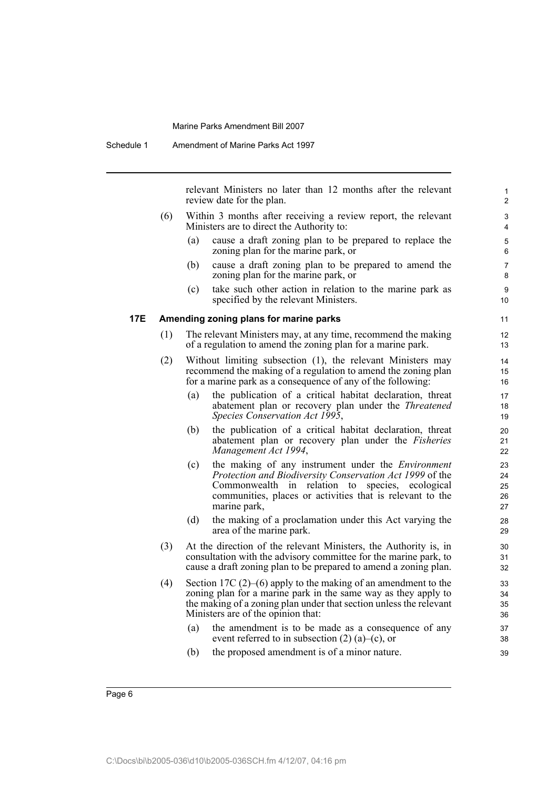relevant Ministers no later than 12 months after the relevant review date for the plan.

- (6) Within 3 months after receiving a review report, the relevant Ministers are to direct the Authority to:
	- (a) cause a draft zoning plan to be prepared to replace the zoning plan for the marine park, or
	- (b) cause a draft zoning plan to be prepared to amend the zoning plan for the marine park, or
	- (c) take such other action in relation to the marine park as specified by the relevant Ministers.

### **17E Amending zoning plans for marine parks**

- (1) The relevant Ministers may, at any time, recommend the making of a regulation to amend the zoning plan for a marine park.
- (2) Without limiting subsection (1), the relevant Ministers may recommend the making of a regulation to amend the zoning plan for a marine park as a consequence of any of the following:
	- (a) the publication of a critical habitat declaration, threat abatement plan or recovery plan under the *Threatened Species Conservation Act 1995*,
	- (b) the publication of a critical habitat declaration, threat abatement plan or recovery plan under the *Fisheries Management Act 1994*,
	- (c) the making of any instrument under the *Environment Protection and Biodiversity Conservation Act 1999* of the Commonwealth in relation to species, ecological communities, places or activities that is relevant to the marine park,
	- (d) the making of a proclamation under this Act varying the area of the marine park.
- (3) At the direction of the relevant Ministers, the Authority is, in consultation with the advisory committee for the marine park, to cause a draft zoning plan to be prepared to amend a zoning plan.
- (4) Section 17C (2)–(6) apply to the making of an amendment to the zoning plan for a marine park in the same way as they apply to the making of a zoning plan under that section unless the relevant Ministers are of the opinion that:
	- (a) the amendment is to be made as a consequence of any event referred to in subsection  $(2)$   $(a)$ – $(c)$ , or
	- (b) the proposed amendment is of a minor nature. 39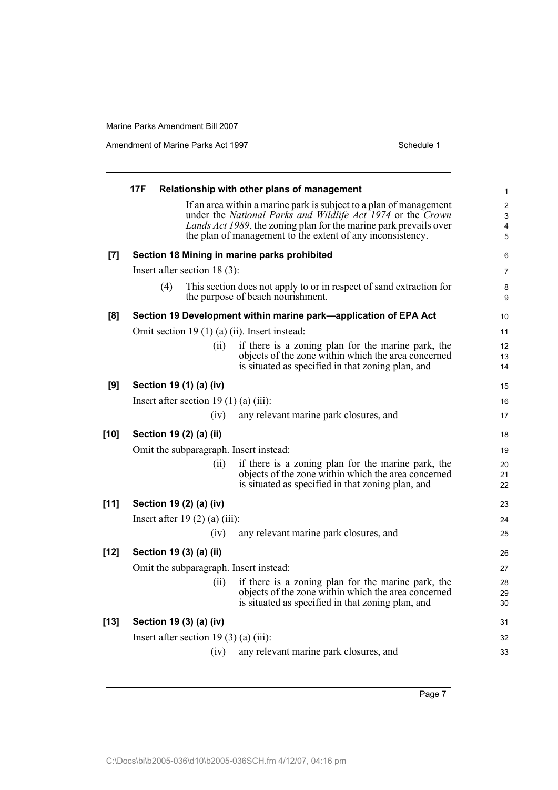Amendment of Marine Parks Act 1997 **Schedule 1** Schedule 1

|        | 17F |     |                                               | Relationship with other plans of management                                                                                                                    | 1                       |
|--------|-----|-----|-----------------------------------------------|----------------------------------------------------------------------------------------------------------------------------------------------------------------|-------------------------|
|        |     |     |                                               | If an area within a marine park is subject to a plan of management                                                                                             | $\overline{\mathbf{c}}$ |
|        |     |     |                                               | under the National Parks and Wildlife Act 1974 or the Crown<br>Lands Act 1989, the zoning plan for the marine park prevails over                               | 3<br>4                  |
|        |     |     |                                               | the plan of management to the extent of any inconsistency.                                                                                                     | 5                       |
| $[7]$  |     |     |                                               | Section 18 Mining in marine parks prohibited                                                                                                                   | 6                       |
|        |     |     | Insert after section $18(3)$ :                |                                                                                                                                                                | $\overline{7}$          |
|        |     | (4) |                                               | This section does not apply to or in respect of sand extraction for<br>the purpose of beach nourishment.                                                       | 8<br>9                  |
| [8]    |     |     |                                               | Section 19 Development within marine park-application of EPA Act                                                                                               | 10                      |
|        |     |     |                                               | Omit section 19 (1) (a) (ii). Insert instead:                                                                                                                  | 11                      |
|        |     |     | (ii)                                          | if there is a zoning plan for the marine park, the<br>objects of the zone within which the area concerned<br>is situated as specified in that zoning plan, and | 12<br>13<br>14          |
| [9]    |     |     | Section 19 (1) (a) (iv)                       |                                                                                                                                                                | 15                      |
|        |     |     | Insert after section 19 (1) (a) (iii):        |                                                                                                                                                                | 16                      |
|        |     |     | (iv)                                          | any relevant marine park closures, and                                                                                                                         | 17                      |
| $[10]$ |     |     | Section 19 (2) (a) (ii)                       |                                                                                                                                                                | 18                      |
|        |     |     |                                               | Omit the subparagraph. Insert instead:                                                                                                                         | 19                      |
|        |     |     | (i)                                           | if there is a zoning plan for the marine park, the<br>objects of the zone within which the area concerned<br>is situated as specified in that zoning plan, and | 20<br>21<br>22          |
| $[11]$ |     |     | Section 19 (2) (a) (iv)                       |                                                                                                                                                                | 23                      |
|        |     |     | Insert after 19 $(2)$ $(a)$ $(iii)$ :         |                                                                                                                                                                | 24                      |
|        |     |     | (iv)                                          | any relevant marine park closures, and                                                                                                                         | 25                      |
| $[12]$ |     |     | Section 19 (3) (a) (ii)                       |                                                                                                                                                                | 26                      |
|        |     |     |                                               | Omit the subparagraph. Insert instead:                                                                                                                         | 27                      |
|        |     |     | (11)                                          | if there is a zoning plan for the marine park, the<br>objects of the zone within which the area concerned<br>is situated as specified in that zoning plan, and | 28<br>29<br>30          |
| $[13]$ |     |     | Section 19 (3) (a) (iv)                       |                                                                                                                                                                | 31                      |
|        |     |     | Insert after section 19 $(3)$ $(a)$ $(iii)$ : |                                                                                                                                                                | 32                      |
|        |     |     | (iv)                                          | any relevant marine park closures, and                                                                                                                         | 33                      |
|        |     |     |                                               |                                                                                                                                                                |                         |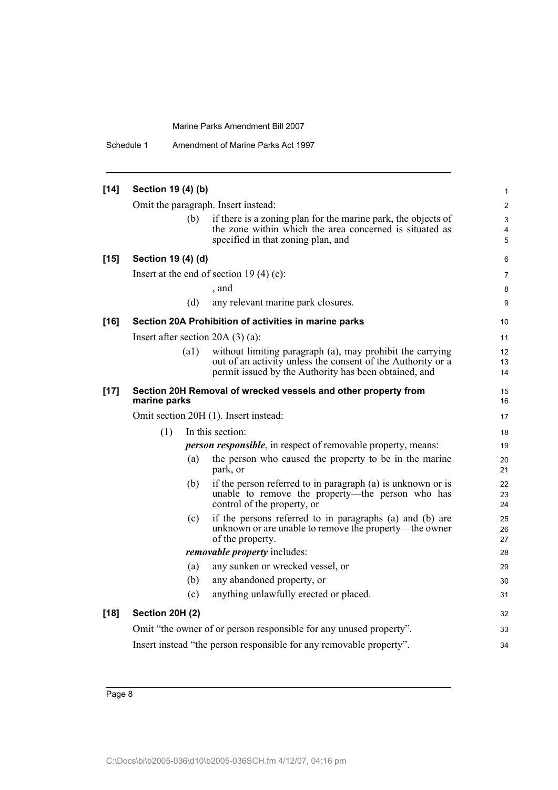Schedule 1 Amendment of Marine Parks Act 1997

| $[14]$ | Section 19 (4) (b)                 |                                                                                                                                                                                   | 1                       |
|--------|------------------------------------|-----------------------------------------------------------------------------------------------------------------------------------------------------------------------------------|-------------------------|
|        |                                    | Omit the paragraph. Insert instead:                                                                                                                                               | $\overline{\mathbf{c}}$ |
|        | (b)                                | if there is a zoning plan for the marine park, the objects of<br>the zone within which the area concerned is situated as<br>specified in that zoning plan, and                    | 3<br>4<br>5             |
| $[15]$ | Section 19 (4) (d)                 |                                                                                                                                                                                   | 6                       |
|        |                                    | Insert at the end of section 19 $(4)$ $(c)$ :                                                                                                                                     | 7                       |
|        |                                    | , and                                                                                                                                                                             | 8                       |
|        | (d)                                | any relevant marine park closures.                                                                                                                                                | 9                       |
| $[16]$ |                                    | Section 20A Prohibition of activities in marine parks                                                                                                                             | 10                      |
|        | Insert after section $20A(3)(a)$ : |                                                                                                                                                                                   | 11                      |
|        | (a1)                               | without limiting paragraph (a), may prohibit the carrying<br>out of an activity unless the consent of the Authority or a<br>permit issued by the Authority has been obtained, and | 12<br>13<br>14          |
| $[17]$ | marine parks                       | Section 20H Removal of wrecked vessels and other property from                                                                                                                    | 15<br>16                |
|        |                                    | Omit section 20H (1). Insert instead:                                                                                                                                             | 17                      |
|        | (1)                                | In this section:                                                                                                                                                                  | 18                      |
|        |                                    | <i>person responsible</i> , in respect of removable property, means:                                                                                                              | 19                      |
|        | (a)                                | the person who caused the property to be in the marine<br>park, or                                                                                                                | 20<br>21                |
|        | (b)                                | if the person referred to in paragraph (a) is unknown or is<br>unable to remove the property—the person who has<br>control of the property, or                                    | 22<br>23<br>24          |
|        | (c)                                | if the persons referred to in paragraphs (a) and (b) are<br>unknown or are unable to remove the property—the owner<br>of the property.                                            | 25<br>26<br>27          |
|        |                                    | <i>removable property</i> includes:                                                                                                                                               | 28                      |
|        | (a)                                | any sunken or wrecked vessel, or                                                                                                                                                  | 29                      |
|        | (b)                                | any abandoned property, or                                                                                                                                                        | 30                      |
|        | (c)                                | anything unlawfully erected or placed.                                                                                                                                            | 31                      |
| $[18]$ | <b>Section 20H (2)</b>             |                                                                                                                                                                                   | 32                      |
|        |                                    | Omit "the owner of or person responsible for any unused property".                                                                                                                | 33                      |
|        |                                    | Insert instead "the person responsible for any removable property".                                                                                                               | 34                      |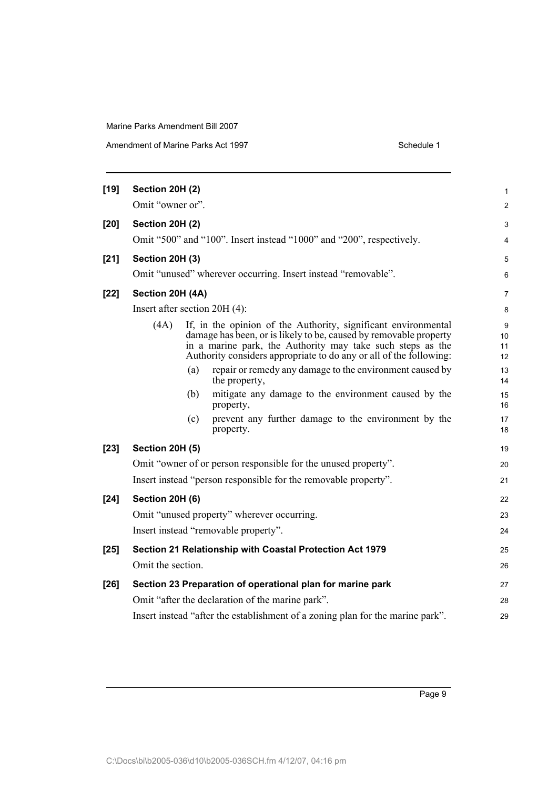Amendment of Marine Parks Act 1997 **Schedule 1** Schedule 1

| $[19]$ | <b>Section 20H (2)</b>                                                                                                                                                                                                                                                          | 1                   |
|--------|---------------------------------------------------------------------------------------------------------------------------------------------------------------------------------------------------------------------------------------------------------------------------------|---------------------|
|        | Omit "owner or".                                                                                                                                                                                                                                                                | $\overline{c}$      |
| $[20]$ | <b>Section 20H (2)</b>                                                                                                                                                                                                                                                          | 3                   |
|        | Omit "500" and "100". Insert instead "1000" and "200", respectively.                                                                                                                                                                                                            | 4                   |
| $[21]$ | <b>Section 20H (3)</b>                                                                                                                                                                                                                                                          | 5                   |
|        | Omit "unused" wherever occurring. Insert instead "removable".                                                                                                                                                                                                                   | 6                   |
| $[22]$ | Section 20H (4A)                                                                                                                                                                                                                                                                | 7                   |
|        | Insert after section $20H(4)$ :                                                                                                                                                                                                                                                 | 8                   |
|        | If, in the opinion of the Authority, significant environmental<br>(4A)<br>damage has been, or is likely to be, caused by removable property<br>in a marine park, the Authority may take such steps as the<br>Authority considers appropriate to do any or all of the following: | 9<br>10<br>11<br>12 |
|        | repair or remedy any damage to the environment caused by<br>(a)<br>the property,                                                                                                                                                                                                | 13<br>14            |
|        | mitigate any damage to the environment caused by the<br>(b)<br>property,                                                                                                                                                                                                        | 15<br>16            |
|        | prevent any further damage to the environment by the<br>(c)<br>property.                                                                                                                                                                                                        | 17<br>18            |
| $[23]$ | <b>Section 20H (5)</b>                                                                                                                                                                                                                                                          | 19                  |
|        | Omit "owner of or person responsible for the unused property".                                                                                                                                                                                                                  | 20                  |
|        | Insert instead "person responsible for the removable property".                                                                                                                                                                                                                 | 21                  |
| $[24]$ | <b>Section 20H (6)</b>                                                                                                                                                                                                                                                          | 22                  |
|        | Omit "unused property" wherever occurring.                                                                                                                                                                                                                                      | 23                  |
|        | Insert instead "removable property".                                                                                                                                                                                                                                            | 24                  |
| $[25]$ | Section 21 Relationship with Coastal Protection Act 1979                                                                                                                                                                                                                        | 25                  |
|        | Omit the section.                                                                                                                                                                                                                                                               | 26                  |
| $[26]$ | Section 23 Preparation of operational plan for marine park                                                                                                                                                                                                                      | 27                  |
|        | Omit "after the declaration of the marine park".                                                                                                                                                                                                                                | 28                  |
|        | Insert instead "after the establishment of a zoning plan for the marine park".                                                                                                                                                                                                  | 29                  |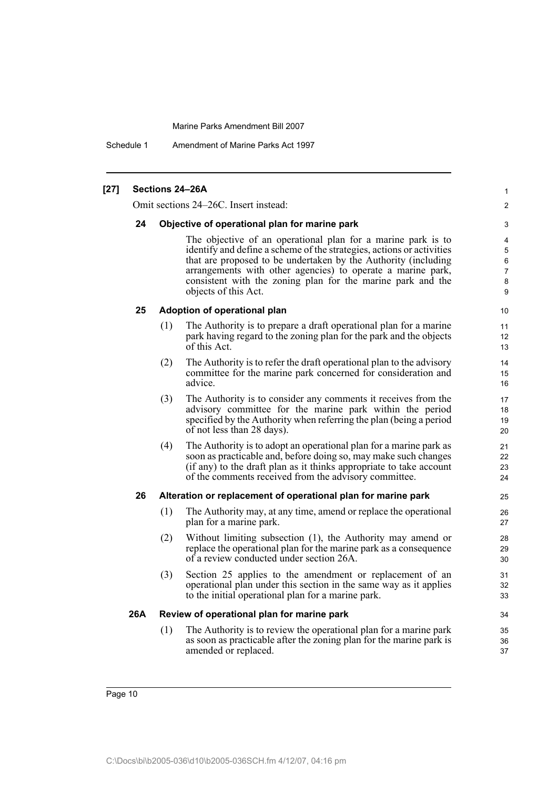Schedule 1 Amendment of Marine Parks Act 1997

| $[27]$ |                                                     |     | Sections 24-26A                                                                                                                                                                                                                                                                                                                                               | 1                                       |  |
|--------|-----------------------------------------------------|-----|---------------------------------------------------------------------------------------------------------------------------------------------------------------------------------------------------------------------------------------------------------------------------------------------------------------------------------------------------------------|-----------------------------------------|--|
|        |                                                     |     | Omit sections 24–26C. Insert instead:                                                                                                                                                                                                                                                                                                                         | 2                                       |  |
|        | 24<br>Objective of operational plan for marine park |     |                                                                                                                                                                                                                                                                                                                                                               |                                         |  |
|        |                                                     |     | The objective of an operational plan for a marine park is to<br>identify and define a scheme of the strategies, actions or activities<br>that are proposed to be undertaken by the Authority (including<br>arrangements with other agencies) to operate a marine park,<br>consistent with the zoning plan for the marine park and the<br>objects of this Act. | 4<br>5<br>6<br>$\overline{7}$<br>8<br>9 |  |
|        | 25                                                  |     | Adoption of operational plan                                                                                                                                                                                                                                                                                                                                  | 10                                      |  |
|        |                                                     | (1) | The Authority is to prepare a draft operational plan for a marine<br>park having regard to the zoning plan for the park and the objects<br>of this Act.                                                                                                                                                                                                       | 11<br>12<br>13                          |  |
|        |                                                     | (2) | The Authority is to refer the draft operational plan to the advisory<br>committee for the marine park concerned for consideration and<br>advice.                                                                                                                                                                                                              | 14<br>15<br>16                          |  |
|        |                                                     | (3) | The Authority is to consider any comments it receives from the<br>advisory committee for the marine park within the period<br>specified by the Authority when referring the plan (being a period<br>of not less than 28 days).                                                                                                                                | 17<br>18<br>19<br>20                    |  |
|        |                                                     | (4) | The Authority is to adopt an operational plan for a marine park as<br>soon as practicable and, before doing so, may make such changes<br>(if any) to the draft plan as it thinks appropriate to take account<br>of the comments received from the advisory committee.                                                                                         | 21<br>22<br>23<br>24                    |  |
|        | 26                                                  |     | Alteration or replacement of operational plan for marine park                                                                                                                                                                                                                                                                                                 | 25                                      |  |
|        |                                                     | (1) | The Authority may, at any time, amend or replace the operational<br>plan for a marine park.                                                                                                                                                                                                                                                                   | 26<br>27                                |  |
|        |                                                     | (2) | Without limiting subsection (1), the Authority may amend or<br>replace the operational plan for the marine park as a consequence<br>of a review conducted under section 26A.                                                                                                                                                                                  | 28<br>29<br>30                          |  |
|        |                                                     | (3) | Section 25 applies to the amendment or replacement of an<br>operational plan under this section in the same way as it applies<br>to the initial operational plan for a marine park.                                                                                                                                                                           | 31<br>32<br>33                          |  |
|        | 26A                                                 |     | Review of operational plan for marine park                                                                                                                                                                                                                                                                                                                    | 34                                      |  |
|        |                                                     | (1) | The Authority is to review the operational plan for a marine park<br>as soon as practicable after the zoning plan for the marine park is<br>amended or replaced.                                                                                                                                                                                              | 35<br>36<br>37                          |  |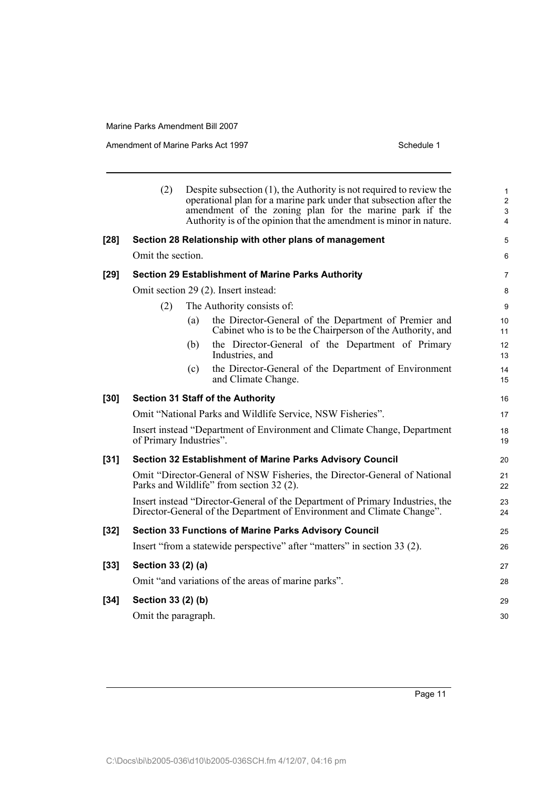Amendment of Marine Parks Act 1997 **Schedule 1** Schedule 1

|        | (2)                     |     | Despite subsection $(1)$ , the Authority is not required to review the<br>operational plan for a marine park under that subsection after the<br>amendment of the zoning plan for the marine park if the<br>Authority is of the opinion that the amendment is minor in nature. | $\mathbf{1}$<br>$\overline{c}$<br>3<br>4 |
|--------|-------------------------|-----|-------------------------------------------------------------------------------------------------------------------------------------------------------------------------------------------------------------------------------------------------------------------------------|------------------------------------------|
| $[28]$ |                         |     | Section 28 Relationship with other plans of management                                                                                                                                                                                                                        | 5                                        |
|        | Omit the section.       |     |                                                                                                                                                                                                                                                                               | 6                                        |
| $[29]$ |                         |     | <b>Section 29 Establishment of Marine Parks Authority</b>                                                                                                                                                                                                                     | $\overline{7}$                           |
|        |                         |     | Omit section 29 (2). Insert instead:                                                                                                                                                                                                                                          | 8                                        |
|        | (2)                     |     | The Authority consists of:                                                                                                                                                                                                                                                    | $\boldsymbol{9}$                         |
|        |                         | (a) | the Director-General of the Department of Premier and<br>Cabinet who is to be the Chairperson of the Authority, and                                                                                                                                                           | 10<br>11                                 |
|        |                         | (b) | the Director-General of the Department of Primary<br>Industries, and                                                                                                                                                                                                          | 12<br>13                                 |
|        |                         | (c) | the Director-General of the Department of Environment<br>and Climate Change.                                                                                                                                                                                                  | 14<br>15                                 |
| $[30]$ |                         |     | <b>Section 31 Staff of the Authority</b>                                                                                                                                                                                                                                      | 16                                       |
|        |                         |     | Omit "National Parks and Wildlife Service, NSW Fisheries".                                                                                                                                                                                                                    | 17                                       |
|        | of Primary Industries". |     | Insert instead "Department of Environment and Climate Change, Department                                                                                                                                                                                                      | 18<br>19                                 |
| $[31]$ |                         |     | Section 32 Establishment of Marine Parks Advisory Council                                                                                                                                                                                                                     | 20                                       |
|        |                         |     | Omit "Director-General of NSW Fisheries, the Director-General of National<br>Parks and Wildlife" from section 32 (2).                                                                                                                                                         | 21<br>22                                 |
|        |                         |     | Insert instead "Director-General of the Department of Primary Industries, the<br>Director-General of the Department of Environment and Climate Change".                                                                                                                       | 23<br>24                                 |
| $[32]$ |                         |     | <b>Section 33 Functions of Marine Parks Advisory Council</b>                                                                                                                                                                                                                  | 25                                       |
|        |                         |     | Insert "from a statewide perspective" after "matters" in section 33 (2).                                                                                                                                                                                                      | 26                                       |
| $[33]$ | Section 33 (2) (a)      |     |                                                                                                                                                                                                                                                                               | 27                                       |
|        |                         |     | Omit "and variations of the areas of marine parks".                                                                                                                                                                                                                           | 28                                       |
| $[34]$ | Section 33 (2) (b)      |     |                                                                                                                                                                                                                                                                               | 29                                       |
|        | Omit the paragraph.     |     |                                                                                                                                                                                                                                                                               | 30                                       |
|        |                         |     |                                                                                                                                                                                                                                                                               |                                          |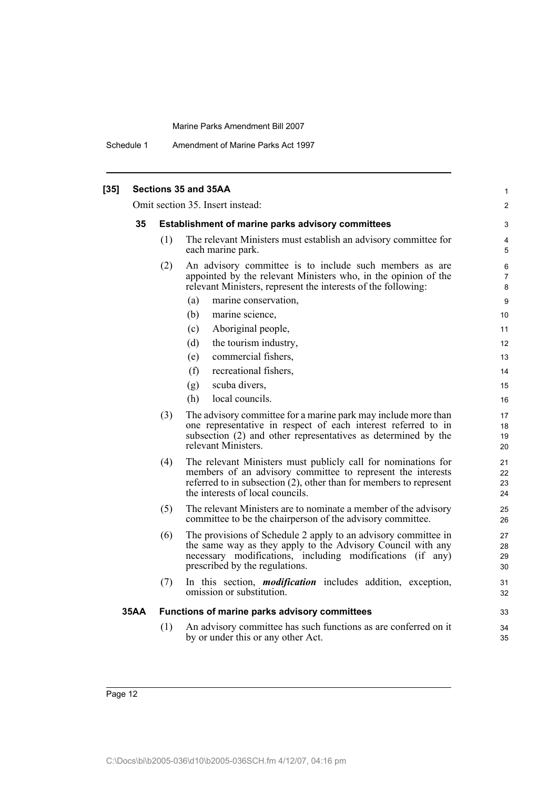Schedule 1 Amendment of Marine Parks Act 1997

| $[35]$ | Sections 35 and 35AA |     |                                                                                                                                                                                                                                           |                      |  |
|--------|----------------------|-----|-------------------------------------------------------------------------------------------------------------------------------------------------------------------------------------------------------------------------------------------|----------------------|--|
|        |                      |     | Omit section 35. Insert instead:                                                                                                                                                                                                          | $\overline{c}$       |  |
|        | 35                   |     | Establishment of marine parks advisory committees                                                                                                                                                                                         | 3                    |  |
|        |                      | (1) | The relevant Ministers must establish an advisory committee for<br>each marine park.                                                                                                                                                      | 4<br>5               |  |
|        |                      | (2) | An advisory committee is to include such members as are<br>appointed by the relevant Ministers who, in the opinion of the<br>relevant Ministers, represent the interests of the following:                                                | 6<br>7<br>8          |  |
|        |                      |     | marine conservation,<br>(a)                                                                                                                                                                                                               | 9                    |  |
|        |                      |     | (b)<br>marine science,                                                                                                                                                                                                                    | 10                   |  |
|        |                      |     | (c)<br>Aboriginal people,                                                                                                                                                                                                                 | 11                   |  |
|        |                      |     | (d)<br>the tourism industry,                                                                                                                                                                                                              | 12                   |  |
|        |                      |     | (e)<br>commercial fishers,                                                                                                                                                                                                                | 13                   |  |
|        |                      |     | (f)<br>recreational fishers,                                                                                                                                                                                                              | 14                   |  |
|        |                      |     | scuba divers,<br>(g)                                                                                                                                                                                                                      | 15                   |  |
|        |                      |     | local councils.<br>(h)                                                                                                                                                                                                                    | 16                   |  |
|        |                      | (3) | The advisory committee for a marine park may include more than<br>one representative in respect of each interest referred to in<br>subsection (2) and other representatives as determined by the<br>relevant Ministers.                   | 17<br>18<br>19<br>20 |  |
|        |                      | (4) | The relevant Ministers must publicly call for nominations for<br>members of an advisory committee to represent the interests<br>referred to in subsection $(2)$ , other than for members to represent<br>the interests of local councils. | 21<br>22<br>23<br>24 |  |
|        |                      | (5) | The relevant Ministers are to nominate a member of the advisory<br>committee to be the chairperson of the advisory committee.                                                                                                             | 25<br>26             |  |
|        |                      | (6) | The provisions of Schedule 2 apply to an advisory committee in<br>the same way as they apply to the Advisory Council with any<br>necessary modifications, including modifications (if any)<br>prescribed by the regulations.              | 27<br>28<br>29<br>30 |  |
|        |                      | (7) | In this section, <i>modification</i> includes addition, exception,<br>omission or substitution.                                                                                                                                           | 31<br>32             |  |
|        | 35AA                 |     | Functions of marine parks advisory committees                                                                                                                                                                                             | 33                   |  |
|        |                      | (1) | An advisory committee has such functions as are conferred on it.<br>by or under this or any other Act.                                                                                                                                    | 34<br>35             |  |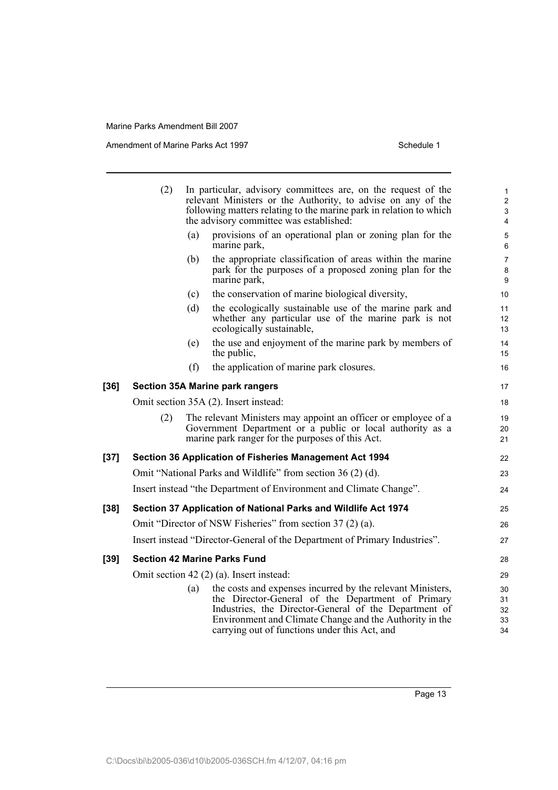[36]

[39]

Amendment of Marine Parks Act 1997 **Schedule 1** Schedule 1

| (2)<br>In particular, advisory committees are, on the request of the<br>relevant Ministers or the Authority, to advise on any of the<br>following matters relating to the marine park in relation to which<br>the advisory committee was established:                                       | 1<br>$\overline{2}$<br>3<br>4 |
|---------------------------------------------------------------------------------------------------------------------------------------------------------------------------------------------------------------------------------------------------------------------------------------------|-------------------------------|
| provisions of an operational plan or zoning plan for the<br>(a)<br>marine park,                                                                                                                                                                                                             | 5<br>6                        |
| the appropriate classification of areas within the marine<br>(b)<br>park for the purposes of a proposed zoning plan for the<br>marine park,                                                                                                                                                 | $\overline{7}$<br>8<br>9      |
| the conservation of marine biological diversity,<br>(c)                                                                                                                                                                                                                                     | 10                            |
| the ecologically sustainable use of the marine park and<br>(d)<br>whether any particular use of the marine park is not<br>ecologically sustainable,                                                                                                                                         | 11<br>12 <sup>2</sup><br>13   |
| the use and enjoyment of the marine park by members of<br>(e)<br>the public,                                                                                                                                                                                                                | 14<br>15                      |
| the application of marine park closures.<br>(f)                                                                                                                                                                                                                                             | 16                            |
| [36]<br><b>Section 35A Marine park rangers</b>                                                                                                                                                                                                                                              | 17                            |
| Omit section 35A (2). Insert instead:                                                                                                                                                                                                                                                       | 18                            |
| The relevant Ministers may appoint an officer or employee of a<br>(2)<br>Government Department or a public or local authority as a<br>marine park ranger for the purposes of this Act.                                                                                                      | 19<br>20<br>21                |
| $[37]$<br>Section 36 Application of Fisheries Management Act 1994                                                                                                                                                                                                                           | 22                            |
| Omit "National Parks and Wildlife" from section 36 (2) (d).                                                                                                                                                                                                                                 | 23                            |
| Insert instead "the Department of Environment and Climate Change".                                                                                                                                                                                                                          | 24                            |
| [38]<br>Section 37 Application of National Parks and Wildlife Act 1974                                                                                                                                                                                                                      | 25                            |
| Omit "Director of NSW Fisheries" from section 37 (2) (a).                                                                                                                                                                                                                                   | 26                            |
| Insert instead "Director-General of the Department of Primary Industries".                                                                                                                                                                                                                  | 27                            |
| <b>Section 42 Marine Parks Fund</b><br>[39]                                                                                                                                                                                                                                                 | 28                            |
| Omit section 42 (2) (a). Insert instead:                                                                                                                                                                                                                                                    | 29                            |
| the costs and expenses incurred by the relevant Ministers,<br>(a)<br>the Director-General of the Department of Primary<br>Industries, the Director-General of the Department of<br>Environment and Climate Change and the Authority in the<br>carrying out of functions under this Act, and | 30<br>31<br>32<br>33<br>34    |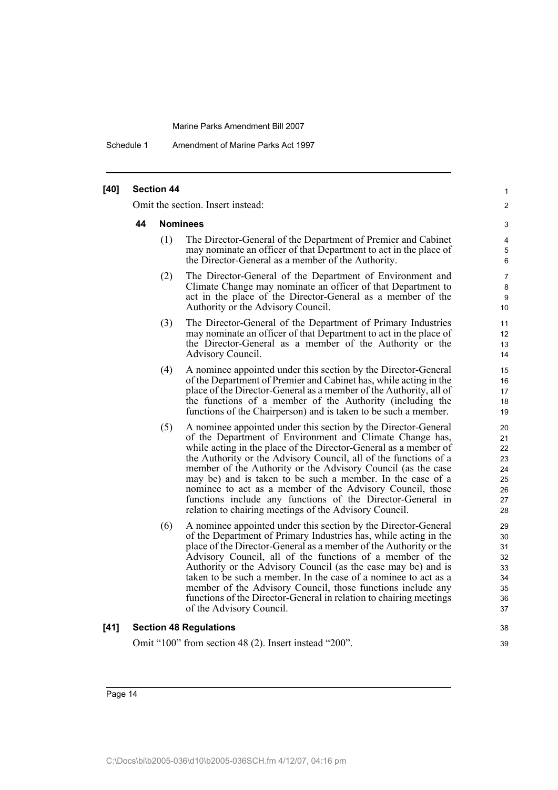Schedule 1 Amendment of Marine Parks Act 1997

#### **[40] Section 44** Omit the section. Insert instead: **44 Nominees** (1) The Director-General of the Department of Premier and Cabinet may nominate an officer of that Department to act in the place of the Director-General as a member of the Authority. (2) The Director-General of the Department of Environment and Climate Change may nominate an officer of that Department to act in the place of the Director-General as a member of the Authority or the Advisory Council. (3) The Director-General of the Department of Primary Industries may nominate an officer of that Department to act in the place of the Director-General as a member of the Authority or the Advisory Council. (4) A nominee appointed under this section by the Director-General of the Department of Premier and Cabinet has, while acting in the place of the Director-General as a member of the Authority, all of the functions of a member of the Authority (including the functions of the Chairperson) and is taken to be such a member. (5) A nominee appointed under this section by the Director-General of the Department of Environment and Climate Change has, while acting in the place of the Director-General as a member of the Authority or the Advisory Council, all of the functions of a member of the Authority or the Advisory Council (as the case may be) and is taken to be such a member. In the case of a nominee to act as a member of the Advisory Council, those functions include any functions of the Director-General in relation to chairing meetings of the Advisory Council. (6) A nominee appointed under this section by the Director-General of the Department of Primary Industries has, while acting in the place of the Director-General as a member of the Authority or the Advisory Council, all of the functions of a member of the Authority or the Advisory Council (as the case may be) and is taken to be such a member. In the case of a nominee to act as a member of the Advisory Council, those functions include any functions of the Director-General in relation to chairing meetings of the Advisory Council. **[41] Section 48 Regulations** Omit "100" from section 48 (2). Insert instead "200". 1  $\mathfrak{p}$ 3 4 5 6 7 8 9 10 11 12 13 14 15 16 17 18 19 20 21  $22$ 23 24 25 26 27 28 29 30 31 32 33 34 35 36 37 38 39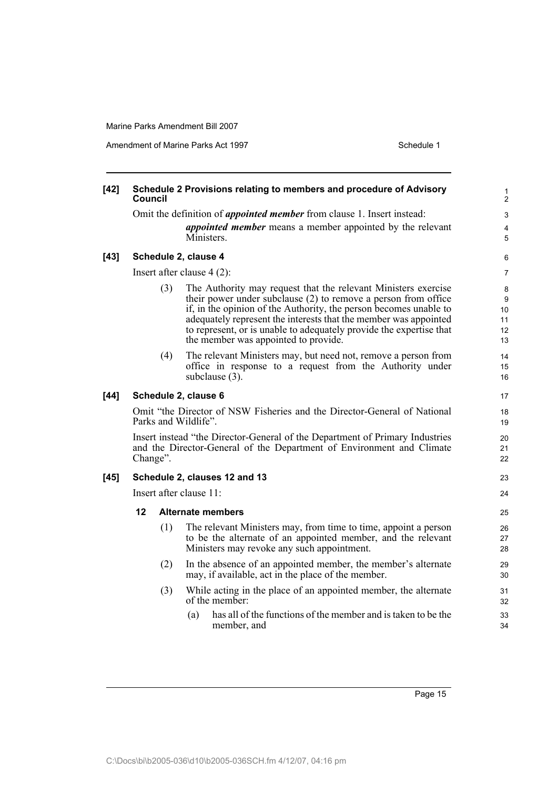Amendment of Marine Parks Act 1997 **Schedule 1** Schedule 1

| $[42]$ | Schedule 2 Provisions relating to members and procedure of Advisory<br>Council<br>Omit the definition of <i>appointed member</i> from clause 1. Insert instead:   |     |                                                                                                                                                                                                                                                                                                                                                                                            |                                |  |
|--------|-------------------------------------------------------------------------------------------------------------------------------------------------------------------|-----|--------------------------------------------------------------------------------------------------------------------------------------------------------------------------------------------------------------------------------------------------------------------------------------------------------------------------------------------------------------------------------------------|--------------------------------|--|
|        |                                                                                                                                                                   |     |                                                                                                                                                                                                                                                                                                                                                                                            |                                |  |
|        |                                                                                                                                                                   |     | <i>appointed member</i> means a member appointed by the relevant<br>Ministers.                                                                                                                                                                                                                                                                                                             | 4<br>5                         |  |
| $[43]$ | Schedule 2, clause 4                                                                                                                                              |     |                                                                                                                                                                                                                                                                                                                                                                                            |                                |  |
|        | Insert after clause $4(2)$ :                                                                                                                                      |     |                                                                                                                                                                                                                                                                                                                                                                                            |                                |  |
|        | (3)                                                                                                                                                               |     | The Authority may request that the relevant Ministers exercise<br>their power under subclause $(2)$ to remove a person from office<br>if, in the opinion of the Authority, the person becomes unable to<br>adequately represent the interests that the member was appointed<br>to represent, or is unable to adequately provide the expertise that<br>the member was appointed to provide. | 8<br>9<br>10<br>11<br>12<br>13 |  |
|        |                                                                                                                                                                   | (4) | The relevant Ministers may, but need not, remove a person from<br>office in response to a request from the Authority under<br>subclause (3).                                                                                                                                                                                                                                               | 14<br>15<br>16                 |  |
| $[44]$ | Schedule 2, clause 6                                                                                                                                              |     |                                                                                                                                                                                                                                                                                                                                                                                            |                                |  |
|        | Omit "the Director of NSW Fisheries and the Director-General of National<br>Parks and Wildlife".                                                                  |     |                                                                                                                                                                                                                                                                                                                                                                                            |                                |  |
|        | Insert instead "the Director-General of the Department of Primary Industries<br>and the Director-General of the Department of Environment and Climate<br>Change". |     |                                                                                                                                                                                                                                                                                                                                                                                            |                                |  |
| $[45]$ | Schedule 2, clauses 12 and 13                                                                                                                                     |     |                                                                                                                                                                                                                                                                                                                                                                                            |                                |  |
|        | Insert after clause 11:                                                                                                                                           |     |                                                                                                                                                                                                                                                                                                                                                                                            |                                |  |
|        | 12                                                                                                                                                                |     | Alternate members                                                                                                                                                                                                                                                                                                                                                                          | 25                             |  |
|        |                                                                                                                                                                   | (1) | The relevant Ministers may, from time to time, appoint a person<br>to be the alternate of an appointed member, and the relevant<br>Ministers may revoke any such appointment.                                                                                                                                                                                                              | 26<br>27<br>28                 |  |
|        |                                                                                                                                                                   | (2) | In the absence of an appointed member, the member's alternate<br>may, if available, act in the place of the member.                                                                                                                                                                                                                                                                        | 29<br>30                       |  |
|        |                                                                                                                                                                   | (3) | While acting in the place of an appointed member, the alternate<br>of the member:                                                                                                                                                                                                                                                                                                          | 31<br>32                       |  |
|        |                                                                                                                                                                   |     | has all of the functions of the member and is taken to be the<br>(a)<br>member, and                                                                                                                                                                                                                                                                                                        | 33<br>34                       |  |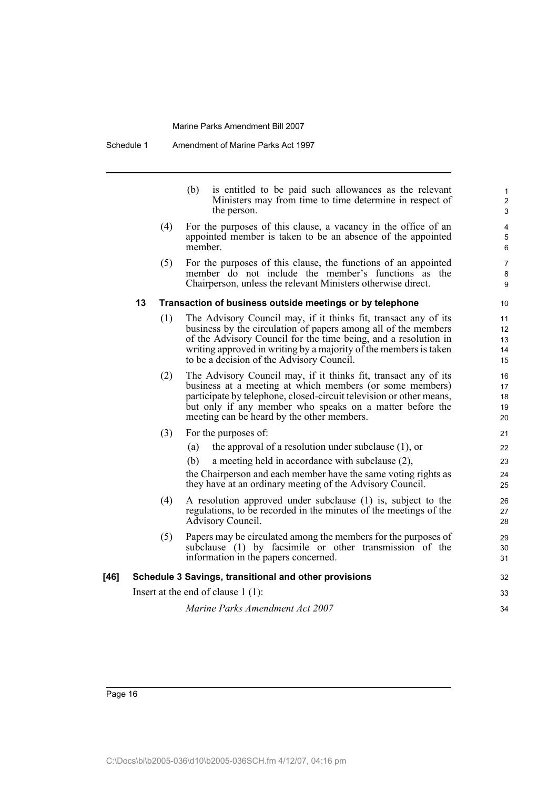|      |    |     | is entitled to be paid such allowances as the relevant<br>(b)<br>Ministers may from time to time determine in respect of<br>the person.                                                                                                                                                                                | 1<br>$\overline{2}$<br>3   |
|------|----|-----|------------------------------------------------------------------------------------------------------------------------------------------------------------------------------------------------------------------------------------------------------------------------------------------------------------------------|----------------------------|
|      |    | (4) | For the purposes of this clause, a vacancy in the office of an<br>appointed member is taken to be an absence of the appointed<br>member.                                                                                                                                                                               | 4<br>$\sqrt{5}$<br>6       |
|      |    | (5) | For the purposes of this clause, the functions of an appointed<br>member do not include the member's functions as the<br>Chairperson, unless the relevant Ministers otherwise direct.                                                                                                                                  | 7<br>$\bf 8$<br>9          |
|      | 13 |     | Transaction of business outside meetings or by telephone                                                                                                                                                                                                                                                               | 10                         |
|      |    | (1) | The Advisory Council may, if it thinks fit, transact any of its<br>business by the circulation of papers among all of the members<br>of the Advisory Council for the time being, and a resolution in<br>writing approved in writing by a majority of the members is taken<br>to be a decision of the Advisory Council. | 11<br>12<br>13<br>14<br>15 |
|      |    | (2) | The Advisory Council may, if it thinks fit, transact any of its<br>business at a meeting at which members (or some members)<br>participate by telephone, closed-circuit television or other means,<br>but only if any member who speaks on a matter before the<br>meeting can be heard by the other members.           | 16<br>17<br>18<br>19<br>20 |
|      |    | (3) | For the purposes of:<br>the approval of a resolution under subclause $(1)$ , or<br>(a)<br>(b)<br>a meeting held in accordance with subclause (2),<br>the Chairperson and each member have the same voting rights as<br>they have at an ordinary meeting of the Advisory Council.                                       | 21<br>22<br>23<br>24<br>25 |
|      |    | (4) | A resolution approved under subclause (1) is, subject to the<br>regulations, to be recorded in the minutes of the meetings of the<br>Advisory Council.                                                                                                                                                                 | 26<br>27<br>28             |
|      |    | (5) | Papers may be circulated among the members for the purposes of<br>subclause (1) by facsimile or other transmission of the<br>information in the papers concerned.                                                                                                                                                      | 29<br>30<br>31             |
| [46] |    |     | Schedule 3 Savings, transitional and other provisions                                                                                                                                                                                                                                                                  | 32                         |
|      |    |     | Insert at the end of clause $1(1)$ :                                                                                                                                                                                                                                                                                   | 33                         |
|      |    |     | Marine Parks Amendment Act 2007                                                                                                                                                                                                                                                                                        | 34                         |
|      |    |     |                                                                                                                                                                                                                                                                                                                        |                            |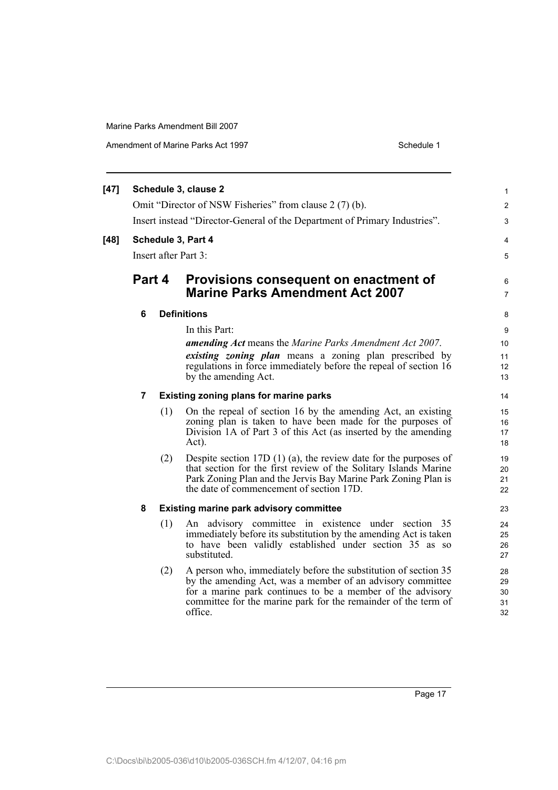| $[47]$ |                                                                            |                                        | Schedule 3, clause 2                                                                                                         | $\mathbf{1}$        |
|--------|----------------------------------------------------------------------------|----------------------------------------|------------------------------------------------------------------------------------------------------------------------------|---------------------|
|        |                                                                            |                                        | Omit "Director of NSW Fisheries" from clause 2(7)(b).                                                                        | 2                   |
|        | Insert instead "Director-General of the Department of Primary Industries". |                                        |                                                                                                                              |                     |
| $[48]$ | Schedule 3, Part 4                                                         |                                        |                                                                                                                              | 4                   |
|        | Insert after Part 3:                                                       |                                        |                                                                                                                              |                     |
|        | Part 4                                                                     |                                        | Provisions consequent on enactment of<br><b>Marine Parks Amendment Act 2007</b>                                              | 6<br>$\overline{7}$ |
|        | 6                                                                          |                                        | <b>Definitions</b>                                                                                                           | 8                   |
|        |                                                                            |                                        | In this Part:                                                                                                                | 9                   |
|        |                                                                            |                                        | <b>amending Act</b> means the Marine Parks Amendment Act 2007.                                                               | 10                  |
|        |                                                                            |                                        | existing zoning plan means a zoning plan prescribed by                                                                       | 11                  |
|        |                                                                            |                                        | regulations in force immediately before the repeal of section 16<br>by the amending Act.                                     | 12<br>13            |
|        |                                                                            |                                        |                                                                                                                              |                     |
|        | 7                                                                          | Existing zoning plans for marine parks |                                                                                                                              |                     |
|        |                                                                            | (1)                                    | On the repeal of section 16 by the amending Act, an existing                                                                 | 15                  |
|        |                                                                            |                                        | zoning plan is taken to have been made for the purposes of<br>Division 1A of Part 3 of this Act (as inserted by the amending | 16<br>17            |
|        |                                                                            |                                        | Act).                                                                                                                        | 18                  |
|        |                                                                            | (2)                                    | Despite section 17D $(1)$ (a), the review date for the purposes of                                                           | 19                  |
|        |                                                                            |                                        | that section for the first review of the Solitary Islands Marine                                                             | 20                  |
|        |                                                                            |                                        | Park Zoning Plan and the Jervis Bay Marine Park Zoning Plan is<br>the date of commencement of section 17D.                   | 21<br>22            |
|        |                                                                            |                                        |                                                                                                                              |                     |
|        | 8                                                                          |                                        | <b>Existing marine park advisory committee</b>                                                                               | 23                  |
|        |                                                                            | (1)                                    | An advisory committee in existence under section 35<br>immediately before its substitution by the amending Act is taken      | 24<br>25            |
|        |                                                                            |                                        | to have been validly established under section 35 as so                                                                      | 26                  |
|        |                                                                            |                                        | substituted.                                                                                                                 | 27                  |
|        |                                                                            | (2)                                    | A person who, immediately before the substitution of section 35                                                              | 28                  |
|        |                                                                            |                                        | by the amending Act, was a member of an advisory committee                                                                   | 29                  |
|        |                                                                            |                                        | for a marine park continues to be a member of the advisory<br>committee for the marine park for the remainder of the term of | 30<br>31            |
|        |                                                                            |                                        | office.                                                                                                                      | 32                  |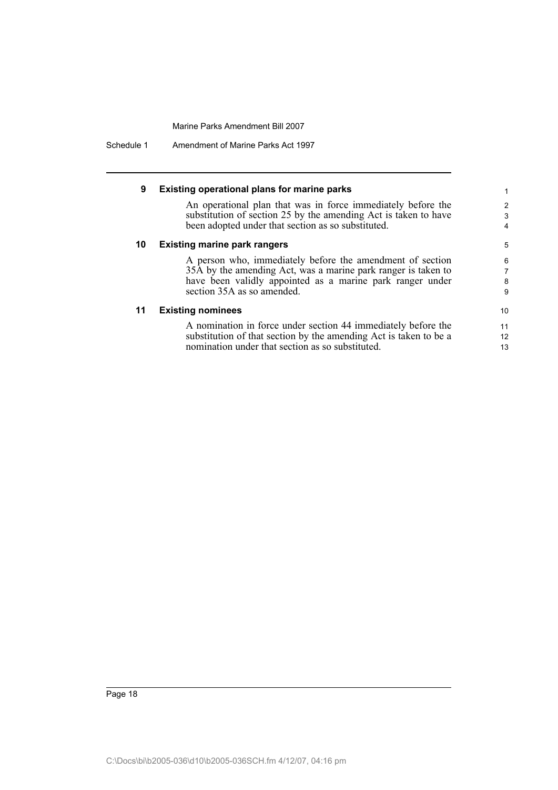Schedule 1 Amendment of Marine Parks Act 1997

| 9 |  | <b>Existing operational plans for marine parks</b> |  |  |  |
|---|--|----------------------------------------------------|--|--|--|
|---|--|----------------------------------------------------|--|--|--|

An operational plan that was in force immediately before the substitution of section 25 by the amending Act is taken to have been adopted under that section as so substituted.

## **10 Existing marine park rangers**

A person who, immediately before the amendment of section 35A by the amending Act, was a marine park ranger is taken to have been validly appointed as a marine park ranger under section 35A as so amended.

### **11 Existing nominees**

A nomination in force under section 44 immediately before the substitution of that section by the amending Act is taken to be a nomination under that section as so substituted.